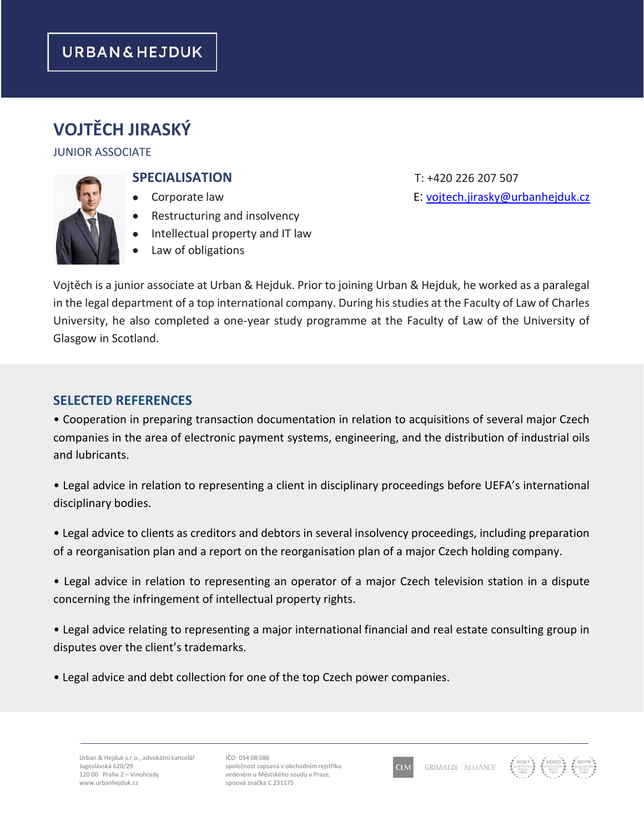## **URBAN&HEJDUK**

# **VOJTĚCH JIRASKÝ**

#### JUNIOR ASSOCIATE



- 
- Restructuring and insolvency
- Intellectual property and IT law
- Law of obligations

**SPECIALISATION** T: +420 226 207 507

• Corporate law E: [vojtech.jirasky@urbanhejduk.cz](mailto:vojtech.jirasky@urbanhejduk.cz)

Vojtěch is a junior associate at Urban & Hejduk. Prior to joining Urban & Hejduk, he worked as a paralegal in the legal department of a top international company. During his studies at the Faculty of Law of Charles University, he also completed a one-year study programme at the Faculty of Law of the University of Glasgow in Scotland.

### **SELECTED REFERENCES**

• Cooperation in preparing transaction documentation in relation to acquisitions of several major Czech companies in the area of electronic payment systems, engineering, and the distribution of industrial oils and lubricants.

• Legal advice in relation to representing a client in disciplinary proceedings before UEFA's international disciplinary bodies.

• Legal advice to clients as creditors and debtors in several insolvency proceedings, including preparation of a reorganisation plan and a report on the reorganisation plan of a major Czech holding company.

• Legal advice in relation to representing an operator of a major Czech television station in a dispute concerning the infringement of intellectual property rights.

• Legal advice relating to representing a major international financial and real estate consulting group in disputes over the client's trademarks.

• Legal advice and debt collection for one of the top Czech power companies.